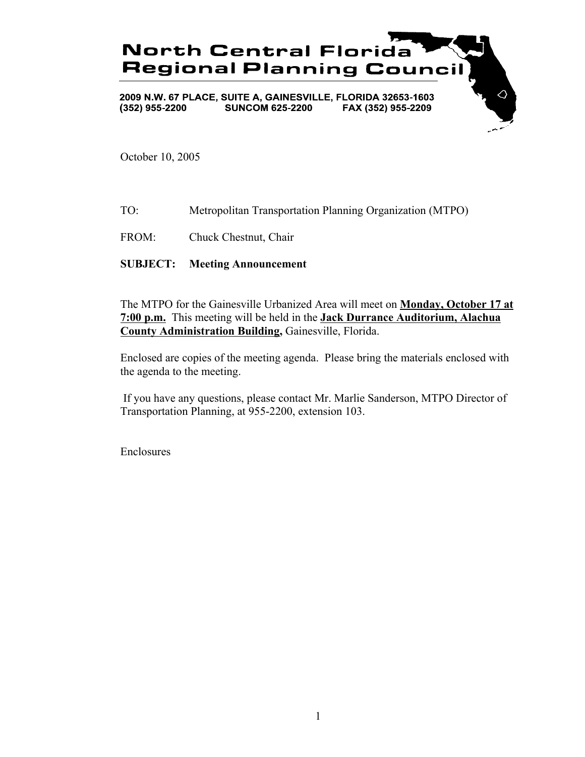

October 10, 2005

TO: Metropolitan Transportation Planning Organization (MTPO)

FROM: Chuck Chestnut, Chair

### **SUBJECT: Meeting Announcement**

The MTPO for the Gainesville Urbanized Area will meet on **Monday, October 17 at 7:00 p.m.** This meeting will be held in the **Jack Durrance Auditorium, Alachua County Administration Building,** Gainesville, Florida.

Enclosed are copies of the meeting agenda. Please bring the materials enclosed with the agenda to the meeting.

 If you have any questions, please contact Mr. Marlie Sanderson, MTPO Director of Transportation Planning, at 955-2200, extension 103.

Enclosures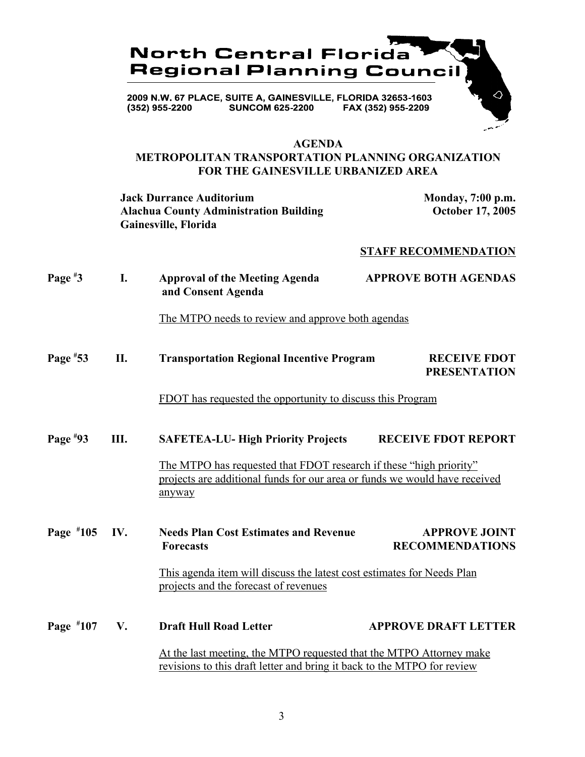

#### **AGENDA**

### **METROPOLITAN TRANSPORTATION PLANNING ORGANIZATION FOR THE GAINESVILLE URBANIZED AREA**

**Jack Durrance Auditorium Monday, 7:00 p.m.** Alachua County Administration Building **October 17, 2005 Gainesville, Florida**

### **STAFF RECOMMENDATION**

| Page $*3$   | I.                                                                                                                                             | <b>Approval of the Meeting Agenda</b><br>and Consent Agenda                                                                                                | <b>APPROVE BOTH AGENDAS</b>                                            |  |
|-------------|------------------------------------------------------------------------------------------------------------------------------------------------|------------------------------------------------------------------------------------------------------------------------------------------------------------|------------------------------------------------------------------------|--|
|             |                                                                                                                                                | The MTPO needs to review and approve both agendas                                                                                                          |                                                                        |  |
| Page $*53$  | II.                                                                                                                                            | <b>Transportation Regional Incentive Program</b>                                                                                                           | <b>RECEIVE FDOT</b><br><b>PRESENTATION</b>                             |  |
|             |                                                                                                                                                | FDOT has requested the opportunity to discuss this Program                                                                                                 |                                                                        |  |
| Page $*93$  | Ш.                                                                                                                                             | <b>SAFETEA-LU- High Priority Projects</b>                                                                                                                  | <b>RECEIVE FDOT REPORT</b>                                             |  |
|             |                                                                                                                                                | The MTPO has requested that FDOT research if these "high priority"<br>projects are additional funds for our area or funds we would have received<br>anyway |                                                                        |  |
| Page $*105$ | IV.                                                                                                                                            | <b>Needs Plan Cost Estimates and Revenue</b><br><b>Forecasts</b>                                                                                           | <b>APPROVE JOINT</b><br><b>RECOMMENDATIONS</b>                         |  |
|             |                                                                                                                                                | projects and the forecast of revenues                                                                                                                      | This agenda item will discuss the latest cost estimates for Needs Plan |  |
| Page #107   | V.                                                                                                                                             | <b>Draft Hull Road Letter</b>                                                                                                                              | <b>APPROVE DRAFT LETTER</b>                                            |  |
|             | At the last meeting, the MTPO requested that the MTPO Attorney make<br>revisions to this draft letter and bring it back to the MTPO for review |                                                                                                                                                            |                                                                        |  |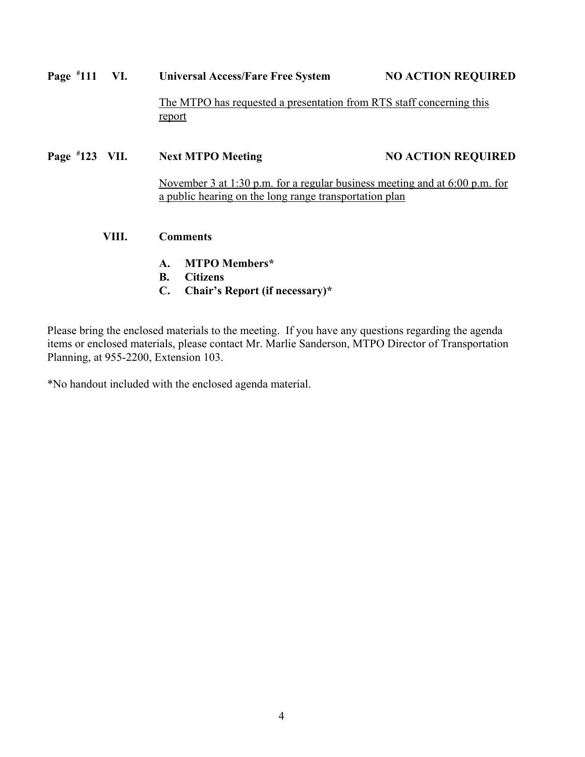| Page $*111$ VI. |       | <b>Universal Access/Fare Free System</b>                                       | <b>NO ACTION REQUIRED</b>                                                     |  |  |
|-----------------|-------|--------------------------------------------------------------------------------|-------------------------------------------------------------------------------|--|--|
|                 |       | The MTPO has requested a presentation from RTS staff concerning this<br>report |                                                                               |  |  |
| Page #123 VII.  |       | <b>Next MTPO Meeting</b>                                                       | <b>NO ACTION REQUIRED</b>                                                     |  |  |
|                 |       | a public hearing on the long range transportation plan                         | November 3 at 1:30 p.m. for a regular business meeting and at $6:00$ p.m. for |  |  |
|                 | VIII. | <b>Comments</b>                                                                |                                                                               |  |  |
|                 |       | <b>MTPO Members*</b><br>$\mathbf{A}$ .                                         |                                                                               |  |  |
|                 |       | <b>B.</b><br><b>Citizens</b>                                                   |                                                                               |  |  |
|                 |       | $\mathbf{C}$ .<br>Chair's Report (if necessary)*                               |                                                                               |  |  |

Please bring the enclosed materials to the meeting. If you have any questions regarding the agenda items or enclosed materials, please contact Mr. Marlie Sanderson, MTPO Director of Transportation Planning, at 955-2200, Extension 103.

\*No handout included with the enclosed agenda material.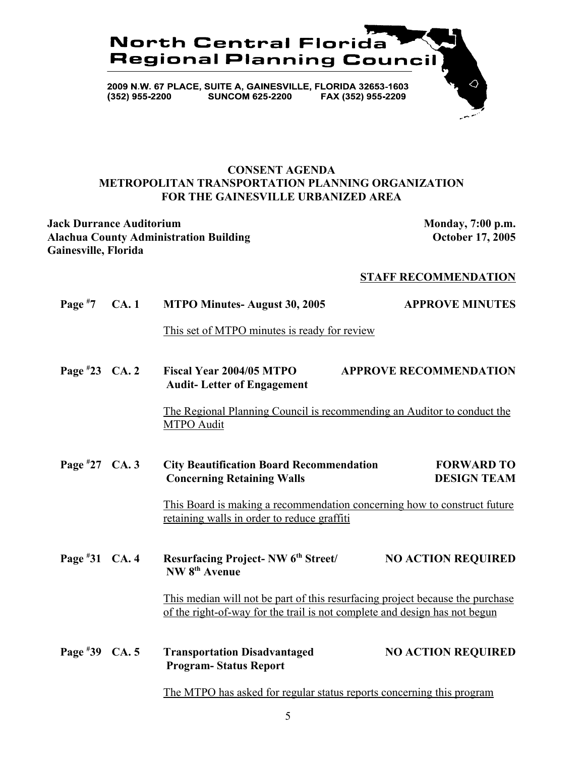

### **CONSENT AGENDA METROPOLITAN TRANSPORTATION PLANNING ORGANIZATION FOR THE GAINESVILLE URBANIZED AREA**

**Jack Durrance Auditorium Monday, 7:00 p.m.** Alachua County Administration Building **County Administration Building County Administration Building County Administration Building Gainesville, Florida**

#### **STAFF RECOMMENDATION**

| Page $*7$        | <b>CA.1</b> | <b>MTPO Minutes-August 30, 2005</b>                                                                                                                         | <b>APPROVE MINUTES</b>                  |
|------------------|-------------|-------------------------------------------------------------------------------------------------------------------------------------------------------------|-----------------------------------------|
|                  |             | This set of MTPO minutes is ready for review                                                                                                                |                                         |
| Page $*23$ CA. 2 |             | <b>Fiscal Year 2004/05 MTPO</b><br><b>Audit-Letter of Engagement</b>                                                                                        | <b>APPROVE RECOMMENDATION</b>           |
|                  |             | The Regional Planning Council is recommending an Auditor to conduct the<br><b>MTPO</b> Audit                                                                |                                         |
| Page $*27$ CA. 3 |             | <b>City Beautification Board Recommendation</b><br><b>Concerning Retaining Walls</b>                                                                        | <b>FORWARD TO</b><br><b>DESIGN TEAM</b> |
|                  |             | This Board is making a recommendation concerning how to construct future<br>retaining walls in order to reduce graffiti                                     |                                         |
| Page #31 CA. 4   |             | <b>Resurfacing Project-NW 6th Street/</b><br>NW 8 <sup>th</sup> Avenue                                                                                      | <b>NO ACTION REQUIRED</b>               |
|                  |             | This median will not be part of this resurfacing project because the purchase<br>of the right-of-way for the trail is not complete and design has not begun |                                         |
| Page #39 CA. 5   |             | <b>Transportation Disadvantaged</b><br><b>Program-Status Report</b>                                                                                         | <b>NO ACTION REQUIRED</b>               |
|                  |             | The MTPO has asked for regular status reports concerning this program                                                                                       |                                         |